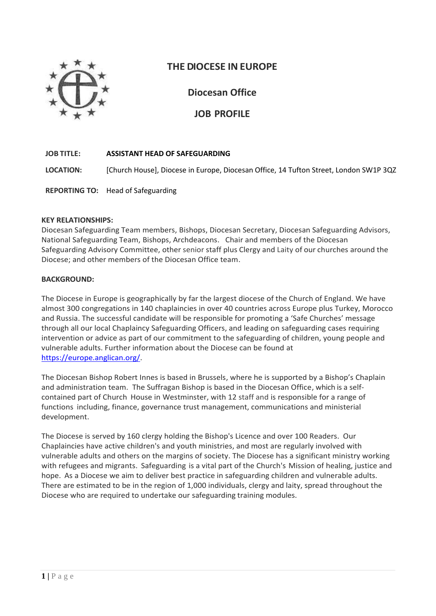

# **THE DIOCESE INEUROPE**

**Diocesan Office**

**JOB PROFILE**

## **JOB TITLE: ASSISTANT HEAD OF SAFEGUARDING**

**LOCATION:** [Church House], Diocese in Europe, Diocesan Office, 14 Tufton Street, London SW1P 3QZ

**REPORTING TO:** Head of Safeguarding

### **KEY RELATIONSHIPS:**

Diocesan Safeguarding Team members, Bishops, Diocesan Secretary, Diocesan Safeguarding Advisors, National Safeguarding Team, Bishops, Archdeacons. Chair and members of the Diocesan Safeguarding Advisory Committee, other senior staff plus Clergy and Laity of our churches around the Diocese; and other members of the Diocesan Office team.

### **BACKGROUND:**

The Diocese in Europe is geographically by far the largest diocese of the Church of England. We have almost 300 congregations in 140 chaplaincies in over 40 countries across Europe plus Turkey, Morocco and Russia. The successful candidate will be responsible for promoting a 'Safe Churches' message through all our local Chaplaincy Safeguarding Officers, and leading on safeguarding cases requiring intervention or advice as part of our commitment to the safeguarding of children, young people and vulnerable adults. Further information about the Diocese can be found at [https://europe.anglican.org/.](https://europe.anglican.org/)

The Diocesan Bishop Robert Innes is based in Brussels, where he is supported by a Bishop's Chaplain and administration team. The Suffragan Bishop is based in the Diocesan Office, which is a selfcontained part of Church House in Westminster, with 12 staff and is responsible for a range of functions including, finance, governance trust management, communications and ministerial development.

The Diocese is served by 160 clergy holding the Bishop's Licence and over 100 Readers. Our Chaplaincies have active children's and youth ministries, and most are regularly involved with vulnerable adults and others on the margins of society. The Diocese has a significant ministry working with refugees and migrants. Safeguarding is a vital part of the Church's Mission of healing, justice and hope. As a Diocese we aim to deliver best practice in safeguarding children and vulnerable adults. There are estimated to be in the region of 1,000 individuals, clergy and laity, spread throughout the Diocese who are required to undertake our safeguarding training modules.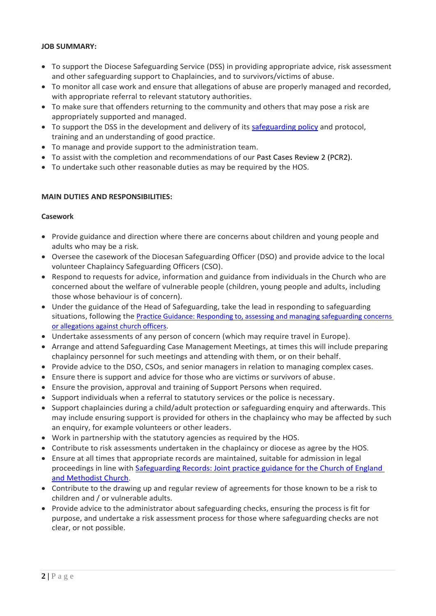### **JOB SUMMARY:**

- To support the Diocese Safeguarding Service (DSS) in providing appropriate advice, risk assessment and other safeguarding support to Chaplaincies, and to survivors/victims of abuse.
- To monitor all case work and ensure that allegations of abuse are properly managed and recorded, with appropriate referral to relevant statutory authorities.
- To make sure that offenders returning to the community and others that may pose a risk are appropriately supported and managed.
- To support the DSS in the development and delivery of its [safeguarding policy](https://europe.anglican.org/diocese-safeguarding-guidelines/introduction) and protocol, training and an understanding of good practice.
- To manage and provide support to the administration team.
- To assist with the completion and recommendations of our Past Cases Review 2 (PCR2).
- To undertake such other reasonable duties as may be required by the HOS.

### **MAIN DUTIES AND RESPONSIBILITIES:**

### **Casework**

- Provide guidance and direction where there are concerns about children and young people and adults who may be a risk.
- Oversee the casework of the Diocesan Safeguarding Officer (DSO) and provide advice to the local volunteer Chaplaincy Safeguarding Officers (CSO).
- Respond to requests for advice, information and guidance from individuals in the Church who are concerned about the welfare of vulnerable people (children, young people and adults, including those whose behaviour is of concern).
- Under the guidance of the Head of Safeguarding, take the lead in responding to safeguarding situations, following the Practice Guidance: Responding to, assessing and managing safeguarding concerns [or allegations against church officers](https://www.churchofengland.org/sites/default/files/2017-12/Responding%20PG%20V2.pdf).
- Undertake assessments of any person of concern (which may require travel in Europe).
- Arrange and attend Safeguarding Case Management Meetings, at times this will include preparing chaplaincy personnel for such meetings and attending with them, or on their behalf.
- Provide advice to the DSO, CSOs, and senior managers in relation to managing complex cases.
- Ensure there is support and advice for those who are victims or survivors of abuse.
- Ensure the provision, approval and training of Support Persons when required.
- Support individuals when a referral to statutory services or the police is necessary.
- Support chaplaincies during a child/adult protection or safeguarding enquiry and afterwards. This may include ensuring support is provided for others in the chaplaincy who may be affected by such an enquiry, for example volunteers or other leaders.
- Work in partnership with the statutory agencies as required by the HOS.
- Contribute to risk assessments undertaken in the chaplaincy or diocese as agree by the HOS.
- Ensure at all times that appropriate records are maintained, suitable for admission in legal proceedings in line with [Safeguarding Records: Joint practice guidance for the Church of England](https://www.churchofengland.org/sites/default/files/2017-11/safeguarding%20joint%20practice%20guidance%20-%20safeguarding%20records.pdf)  [and Methodist Church.](https://www.churchofengland.org/sites/default/files/2017-11/safeguarding%20joint%20practice%20guidance%20-%20safeguarding%20records.pdf)
- Contribute to the drawing up and regular review of agreements for those known to be a risk to children and / or vulnerable adults.
- Provide advice to the administrator about safeguarding checks, ensuring the process is fit for purpose, and undertake a risk assessment process for those where safeguarding checks are not clear, or not possible.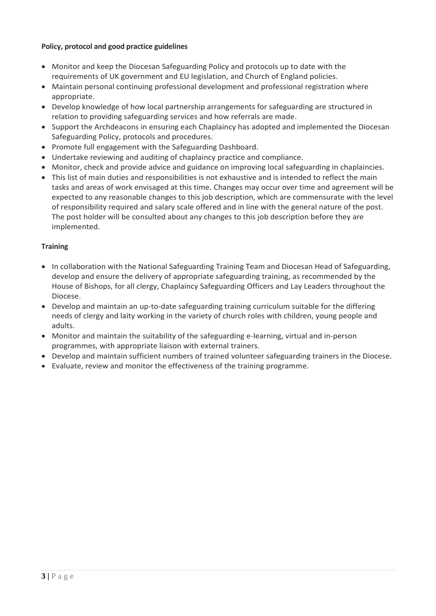## **Policy, protocol and good practice guidelines**

- Monitor and keep the Diocesan Safeguarding Policy and protocols up to date with the requirements of UK government and EU legislation, and Church of England policies.
- Maintain personal continuing professional development and professional registration where appropriate.
- Develop knowledge of how local partnership arrangements for safeguarding are structured in relation to providing safeguarding services and how referrals are made.
- Support the Archdeacons in ensuring each Chaplaincy has adopted and implemented the Diocesan Safeguarding Policy, protocols and procedures.
- Promote full engagement with the Safeguarding Dashboard.
- Undertake reviewing and auditing of chaplaincy practice and compliance.
- Monitor, check and provide advice and guidance on improving local safeguarding in chaplaincies.
- This list of main duties and responsibilities is not exhaustive and is intended to reflect the main tasks and areas of work envisaged at this time. Changes may occur over time and agreement will be expected to any reasonable changes to this job description, which are commensurate with the level of responsibility required and salary scale offered and in line with the general nature of the post. The post holder will be consulted about any changes to this job description before they are implemented.

## **Training**

- In collaboration with the National Safeguarding Training Team and Diocesan Head of Safeguarding, develop and ensure the delivery of appropriate safeguarding training, as recommended by the House of Bishops, for all clergy, Chaplaincy Safeguarding Officers and Lay Leaders throughout the Diocese.
- Develop and maintain an up-to-date safeguarding training curriculum suitable for the differing needs of clergy and laity working in the variety of church roles with children, young people and adults.
- Monitor and maintain the suitability of the safeguarding e-learning, virtual and in-person programmes, with appropriate liaison with external trainers.
- Develop and maintain sufficient numbers of trained volunteer safeguarding trainers in the Diocese.
- Evaluate, review and monitor the effectiveness of the training programme.